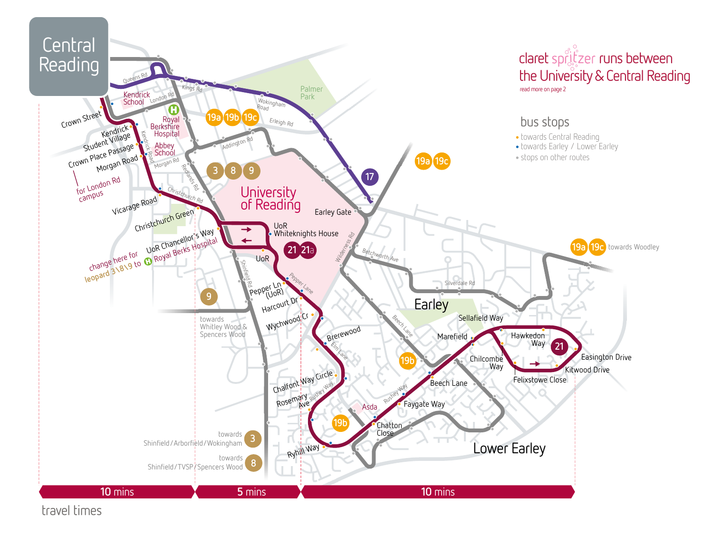

travel times